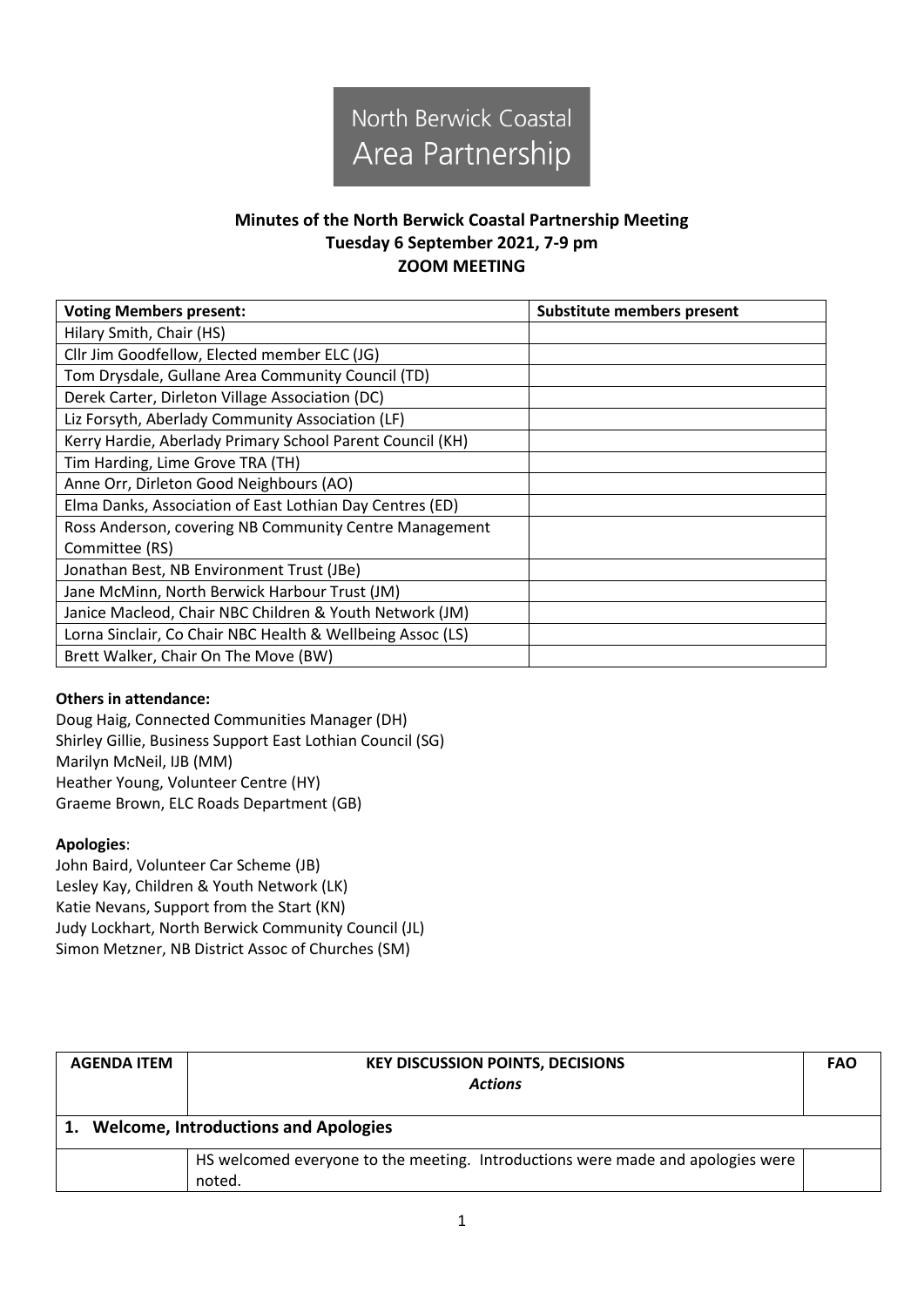

## **Minutes of the North Berwick Coastal Partnership Meeting Tuesday 6 September 2021, 7-9 pm ZOOM MEETING**

| <b>Voting Members present:</b>                             | <b>Substitute members present</b> |
|------------------------------------------------------------|-----------------------------------|
| Hilary Smith, Chair (HS)                                   |                                   |
| Cllr Jim Goodfellow, Elected member ELC (JG)               |                                   |
| Tom Drysdale, Gullane Area Community Council (TD)          |                                   |
| Derek Carter, Dirleton Village Association (DC)            |                                   |
| Liz Forsyth, Aberlady Community Association (LF)           |                                   |
| Kerry Hardie, Aberlady Primary School Parent Council (KH)  |                                   |
| Tim Harding, Lime Grove TRA (TH)                           |                                   |
| Anne Orr, Dirleton Good Neighbours (AO)                    |                                   |
| Elma Danks, Association of East Lothian Day Centres (ED)   |                                   |
| Ross Anderson, covering NB Community Centre Management     |                                   |
| Committee (RS)                                             |                                   |
| Jonathan Best, NB Environment Trust (JBe)                  |                                   |
| Jane McMinn, North Berwick Harbour Trust (JM)              |                                   |
| Janice Macleod, Chair NBC Children & Youth Network (JM)    |                                   |
| Lorna Sinclair, Co Chair NBC Health & Wellbeing Assoc (LS) |                                   |
| Brett Walker, Chair On The Move (BW)                       |                                   |

## **Others in attendance:**

Doug Haig, Connected Communities Manager (DH) Shirley Gillie, Business Support East Lothian Council (SG) Marilyn McNeil, IJB (MM) Heather Young, Volunteer Centre (HY) Graeme Brown, ELC Roads Department (GB)

## **Apologies**:

John Baird, Volunteer Car Scheme (JB) Lesley Kay, Children & Youth Network (LK) Katie Nevans, Support from the Start (KN) Judy Lockhart, North Berwick Community Council (JL) Simon Metzner, NB District Assoc of Churches (SM)

| <b>AGENDA ITEM</b> | <b>KEY DISCUSSION POINTS, DECISIONS</b><br><b>Actions</b>                                 |  |
|--------------------|-------------------------------------------------------------------------------------------|--|
|                    | <b>Welcome, Introductions and Apologies</b>                                               |  |
|                    | HS welcomed everyone to the meeting. Introductions were made and apologies were<br>noted. |  |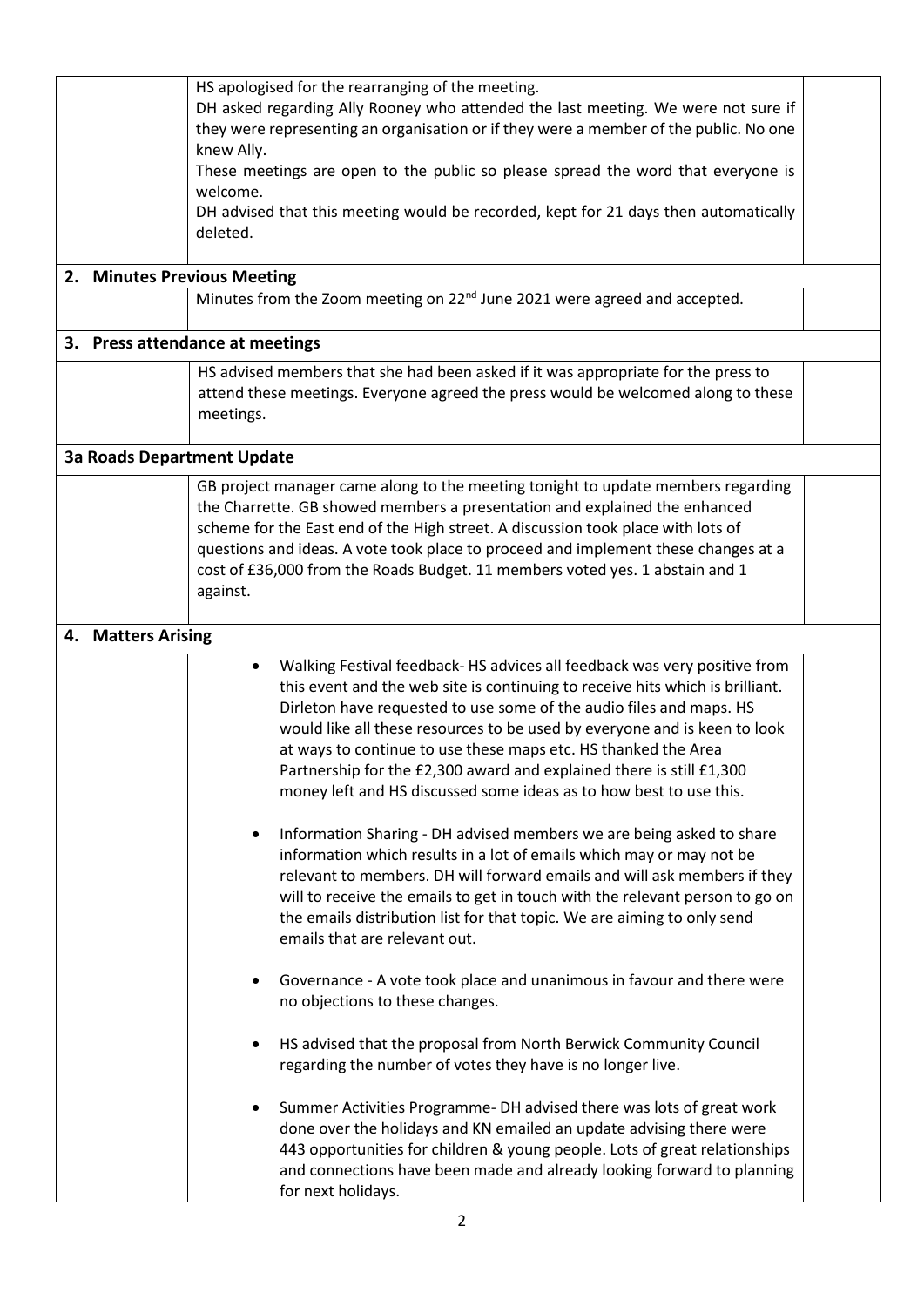| HS apologised for the rearranging of the meeting.<br>DH asked regarding Ally Rooney who attended the last meeting. We were not sure if<br>they were representing an organisation or if they were a member of the public. No one<br>knew Ally.<br>These meetings are open to the public so please spread the word that everyone is<br>welcome.<br>DH advised that this meeting would be recorded, kept for 21 days then automatically<br>deleted.<br>2. Minutes Previous Meeting<br>Minutes from the Zoom meeting on 22 <sup>nd</sup> June 2021 were agreed and accepted. |                                                                                                                                                                                                                                                                                                                                                                                                                                                                                                                                             |  |  |  |
|--------------------------------------------------------------------------------------------------------------------------------------------------------------------------------------------------------------------------------------------------------------------------------------------------------------------------------------------------------------------------------------------------------------------------------------------------------------------------------------------------------------------------------------------------------------------------|---------------------------------------------------------------------------------------------------------------------------------------------------------------------------------------------------------------------------------------------------------------------------------------------------------------------------------------------------------------------------------------------------------------------------------------------------------------------------------------------------------------------------------------------|--|--|--|
|                                                                                                                                                                                                                                                                                                                                                                                                                                                                                                                                                                          | 3. Press attendance at meetings                                                                                                                                                                                                                                                                                                                                                                                                                                                                                                             |  |  |  |
|                                                                                                                                                                                                                                                                                                                                                                                                                                                                                                                                                                          | HS advised members that she had been asked if it was appropriate for the press to<br>attend these meetings. Everyone agreed the press would be welcomed along to these<br>meetings.                                                                                                                                                                                                                                                                                                                                                         |  |  |  |
|                                                                                                                                                                                                                                                                                                                                                                                                                                                                                                                                                                          | <b>3a Roads Department Update</b>                                                                                                                                                                                                                                                                                                                                                                                                                                                                                                           |  |  |  |
|                                                                                                                                                                                                                                                                                                                                                                                                                                                                                                                                                                          | GB project manager came along to the meeting tonight to update members regarding<br>the Charrette. GB showed members a presentation and explained the enhanced<br>scheme for the East end of the High street. A discussion took place with lots of<br>questions and ideas. A vote took place to proceed and implement these changes at a<br>cost of £36,000 from the Roads Budget. 11 members voted yes. 1 abstain and 1<br>against.                                                                                                        |  |  |  |
| 4. Matters Arising                                                                                                                                                                                                                                                                                                                                                                                                                                                                                                                                                       |                                                                                                                                                                                                                                                                                                                                                                                                                                                                                                                                             |  |  |  |
|                                                                                                                                                                                                                                                                                                                                                                                                                                                                                                                                                                          | Walking Festival feedback- HS advices all feedback was very positive from<br>$\bullet$<br>this event and the web site is continuing to receive hits which is brilliant.<br>Dirleton have requested to use some of the audio files and maps. HS<br>would like all these resources to be used by everyone and is keen to look<br>at ways to continue to use these maps etc. HS thanked the Area<br>Partnership for the £2,300 award and explained there is still £1,300<br>money left and HS discussed some ideas as to how best to use this. |  |  |  |
|                                                                                                                                                                                                                                                                                                                                                                                                                                                                                                                                                                          | Information Sharing - DH advised members we are being asked to share<br>٠<br>information which results in a lot of emails which may or may not be<br>relevant to members. DH will forward emails and will ask members if they<br>will to receive the emails to get in touch with the relevant person to go on<br>the emails distribution list for that topic. We are aiming to only send<br>emails that are relevant out.                                                                                                                   |  |  |  |
|                                                                                                                                                                                                                                                                                                                                                                                                                                                                                                                                                                          | Governance - A vote took place and unanimous in favour and there were<br>no objections to these changes.                                                                                                                                                                                                                                                                                                                                                                                                                                    |  |  |  |
|                                                                                                                                                                                                                                                                                                                                                                                                                                                                                                                                                                          | HS advised that the proposal from North Berwick Community Council<br>regarding the number of votes they have is no longer live.                                                                                                                                                                                                                                                                                                                                                                                                             |  |  |  |
|                                                                                                                                                                                                                                                                                                                                                                                                                                                                                                                                                                          | Summer Activities Programme- DH advised there was lots of great work<br>done over the holidays and KN emailed an update advising there were<br>443 opportunities for children & young people. Lots of great relationships<br>and connections have been made and already looking forward to planning<br>for next holidays.                                                                                                                                                                                                                   |  |  |  |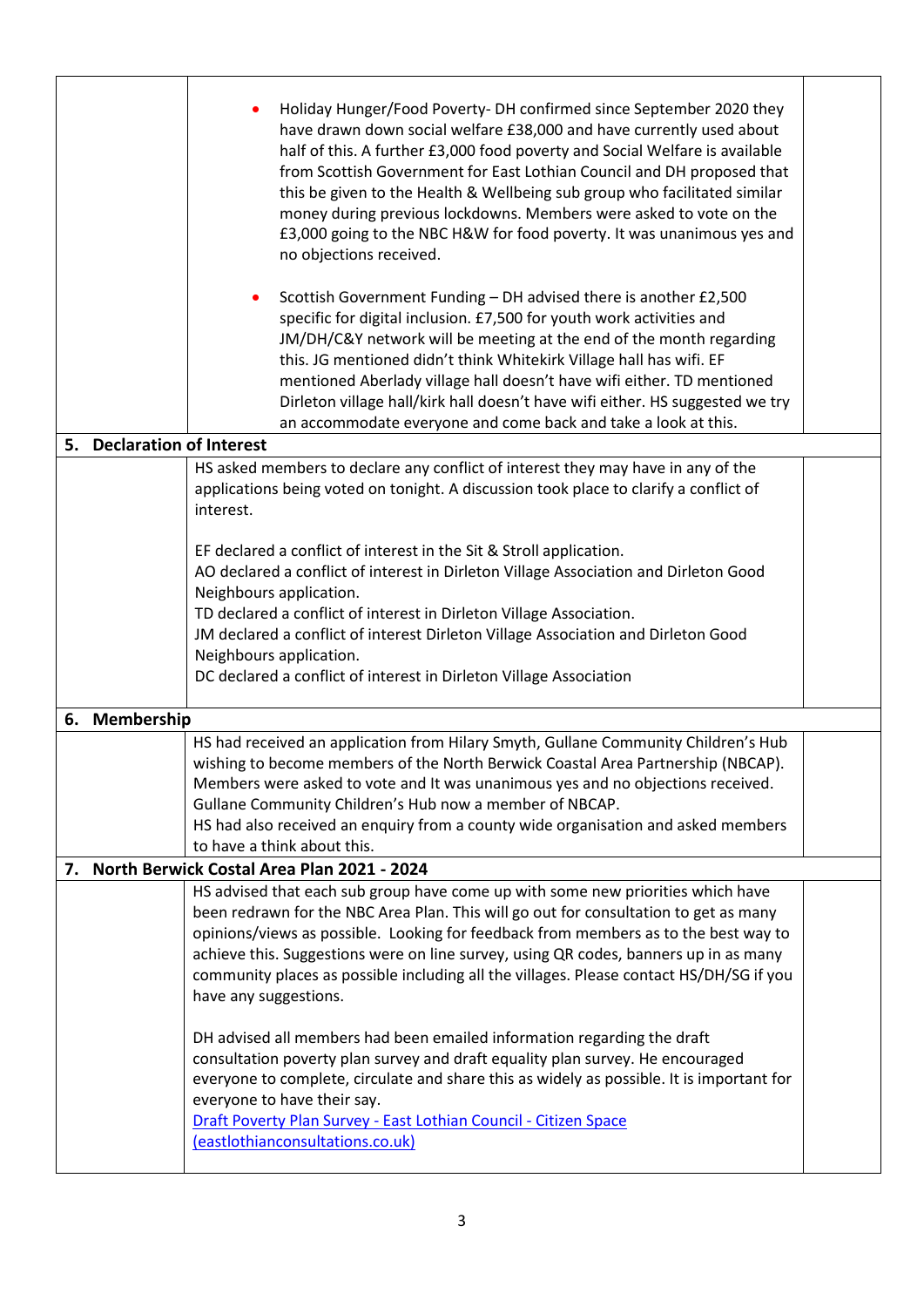| 5.                          | Holiday Hunger/Food Poverty-DH confirmed since September 2020 they<br>have drawn down social welfare £38,000 and have currently used about<br>half of this. A further £3,000 food poverty and Social Welfare is available<br>from Scottish Government for East Lothian Council and DH proposed that<br>this be given to the Health & Wellbeing sub group who facilitated similar<br>money during previous lockdowns. Members were asked to vote on the<br>£3,000 going to the NBC H&W for food poverty. It was unanimous yes and<br>no objections received.<br>Scottish Government Funding - DH advised there is another £2,500<br>٠<br>specific for digital inclusion. £7,500 for youth work activities and<br>JM/DH/C&Y network will be meeting at the end of the month regarding<br>this. JG mentioned didn't think Whitekirk Village hall has wifi. EF<br>mentioned Aberlady village hall doesn't have wifi either. TD mentioned<br>Dirleton village hall/kirk hall doesn't have wifi either. HS suggested we try<br>an accommodate everyone and come back and take a look at this.<br><b>Declaration of Interest</b> |  |  |  |
|-----------------------------|---------------------------------------------------------------------------------------------------------------------------------------------------------------------------------------------------------------------------------------------------------------------------------------------------------------------------------------------------------------------------------------------------------------------------------------------------------------------------------------------------------------------------------------------------------------------------------------------------------------------------------------------------------------------------------------------------------------------------------------------------------------------------------------------------------------------------------------------------------------------------------------------------------------------------------------------------------------------------------------------------------------------------------------------------------------------------------------------------------------------------|--|--|--|
|                             | HS asked members to declare any conflict of interest they may have in any of the                                                                                                                                                                                                                                                                                                                                                                                                                                                                                                                                                                                                                                                                                                                                                                                                                                                                                                                                                                                                                                          |  |  |  |
|                             | applications being voted on tonight. A discussion took place to clarify a conflict of                                                                                                                                                                                                                                                                                                                                                                                                                                                                                                                                                                                                                                                                                                                                                                                                                                                                                                                                                                                                                                     |  |  |  |
|                             | interest.                                                                                                                                                                                                                                                                                                                                                                                                                                                                                                                                                                                                                                                                                                                                                                                                                                                                                                                                                                                                                                                                                                                 |  |  |  |
|                             | EF declared a conflict of interest in the Sit & Stroll application.                                                                                                                                                                                                                                                                                                                                                                                                                                                                                                                                                                                                                                                                                                                                                                                                                                                                                                                                                                                                                                                       |  |  |  |
|                             | AO declared a conflict of interest in Dirleton Village Association and Dirleton Good                                                                                                                                                                                                                                                                                                                                                                                                                                                                                                                                                                                                                                                                                                                                                                                                                                                                                                                                                                                                                                      |  |  |  |
|                             | Neighbours application.                                                                                                                                                                                                                                                                                                                                                                                                                                                                                                                                                                                                                                                                                                                                                                                                                                                                                                                                                                                                                                                                                                   |  |  |  |
|                             | TD declared a conflict of interest in Dirleton Village Association.                                                                                                                                                                                                                                                                                                                                                                                                                                                                                                                                                                                                                                                                                                                                                                                                                                                                                                                                                                                                                                                       |  |  |  |
|                             | JM declared a conflict of interest Dirleton Village Association and Dirleton Good                                                                                                                                                                                                                                                                                                                                                                                                                                                                                                                                                                                                                                                                                                                                                                                                                                                                                                                                                                                                                                         |  |  |  |
|                             | Neighbours application.<br>DC declared a conflict of interest in Dirleton Village Association                                                                                                                                                                                                                                                                                                                                                                                                                                                                                                                                                                                                                                                                                                                                                                                                                                                                                                                                                                                                                             |  |  |  |
|                             |                                                                                                                                                                                                                                                                                                                                                                                                                                                                                                                                                                                                                                                                                                                                                                                                                                                                                                                                                                                                                                                                                                                           |  |  |  |
| 6. Membership               |                                                                                                                                                                                                                                                                                                                                                                                                                                                                                                                                                                                                                                                                                                                                                                                                                                                                                                                                                                                                                                                                                                                           |  |  |  |
|                             | HS had received an application from Hilary Smyth, Gullane Community Children's Hub                                                                                                                                                                                                                                                                                                                                                                                                                                                                                                                                                                                                                                                                                                                                                                                                                                                                                                                                                                                                                                        |  |  |  |
|                             | wishing to become members of the North Berwick Coastal Area Partnership (NBCAP).<br>Members were asked to vote and It was unanimous yes and no objections received.                                                                                                                                                                                                                                                                                                                                                                                                                                                                                                                                                                                                                                                                                                                                                                                                                                                                                                                                                       |  |  |  |
|                             | Gullane Community Children's Hub now a member of NBCAP.                                                                                                                                                                                                                                                                                                                                                                                                                                                                                                                                                                                                                                                                                                                                                                                                                                                                                                                                                                                                                                                                   |  |  |  |
|                             | HS had also received an enquiry from a county wide organisation and asked members                                                                                                                                                                                                                                                                                                                                                                                                                                                                                                                                                                                                                                                                                                                                                                                                                                                                                                                                                                                                                                         |  |  |  |
|                             | to have a think about this.                                                                                                                                                                                                                                                                                                                                                                                                                                                                                                                                                                                                                                                                                                                                                                                                                                                                                                                                                                                                                                                                                               |  |  |  |
| 7.                          | North Berwick Costal Area Plan 2021 - 2024                                                                                                                                                                                                                                                                                                                                                                                                                                                                                                                                                                                                                                                                                                                                                                                                                                                                                                                                                                                                                                                                                |  |  |  |
|                             | HS advised that each sub group have come up with some new priorities which have<br>been redrawn for the NBC Area Plan. This will go out for consultation to get as many                                                                                                                                                                                                                                                                                                                                                                                                                                                                                                                                                                                                                                                                                                                                                                                                                                                                                                                                                   |  |  |  |
|                             | opinions/views as possible. Looking for feedback from members as to the best way to                                                                                                                                                                                                                                                                                                                                                                                                                                                                                                                                                                                                                                                                                                                                                                                                                                                                                                                                                                                                                                       |  |  |  |
|                             | achieve this. Suggestions were on line survey, using QR codes, banners up in as many                                                                                                                                                                                                                                                                                                                                                                                                                                                                                                                                                                                                                                                                                                                                                                                                                                                                                                                                                                                                                                      |  |  |  |
|                             | community places as possible including all the villages. Please contact HS/DH/SG if you                                                                                                                                                                                                                                                                                                                                                                                                                                                                                                                                                                                                                                                                                                                                                                                                                                                                                                                                                                                                                                   |  |  |  |
|                             | have any suggestions.                                                                                                                                                                                                                                                                                                                                                                                                                                                                                                                                                                                                                                                                                                                                                                                                                                                                                                                                                                                                                                                                                                     |  |  |  |
|                             | DH advised all members had been emailed information regarding the draft                                                                                                                                                                                                                                                                                                                                                                                                                                                                                                                                                                                                                                                                                                                                                                                                                                                                                                                                                                                                                                                   |  |  |  |
|                             | consultation poverty plan survey and draft equality plan survey. He encouraged                                                                                                                                                                                                                                                                                                                                                                                                                                                                                                                                                                                                                                                                                                                                                                                                                                                                                                                                                                                                                                            |  |  |  |
|                             | everyone to complete, circulate and share this as widely as possible. It is important for                                                                                                                                                                                                                                                                                                                                                                                                                                                                                                                                                                                                                                                                                                                                                                                                                                                                                                                                                                                                                                 |  |  |  |
| everyone to have their say. |                                                                                                                                                                                                                                                                                                                                                                                                                                                                                                                                                                                                                                                                                                                                                                                                                                                                                                                                                                                                                                                                                                                           |  |  |  |
|                             | Draft Poverty Plan Survey - East Lothian Council - Citizen Space                                                                                                                                                                                                                                                                                                                                                                                                                                                                                                                                                                                                                                                                                                                                                                                                                                                                                                                                                                                                                                                          |  |  |  |
|                             | (eastlothianconsultations.co.uk)                                                                                                                                                                                                                                                                                                                                                                                                                                                                                                                                                                                                                                                                                                                                                                                                                                                                                                                                                                                                                                                                                          |  |  |  |
|                             |                                                                                                                                                                                                                                                                                                                                                                                                                                                                                                                                                                                                                                                                                                                                                                                                                                                                                                                                                                                                                                                                                                                           |  |  |  |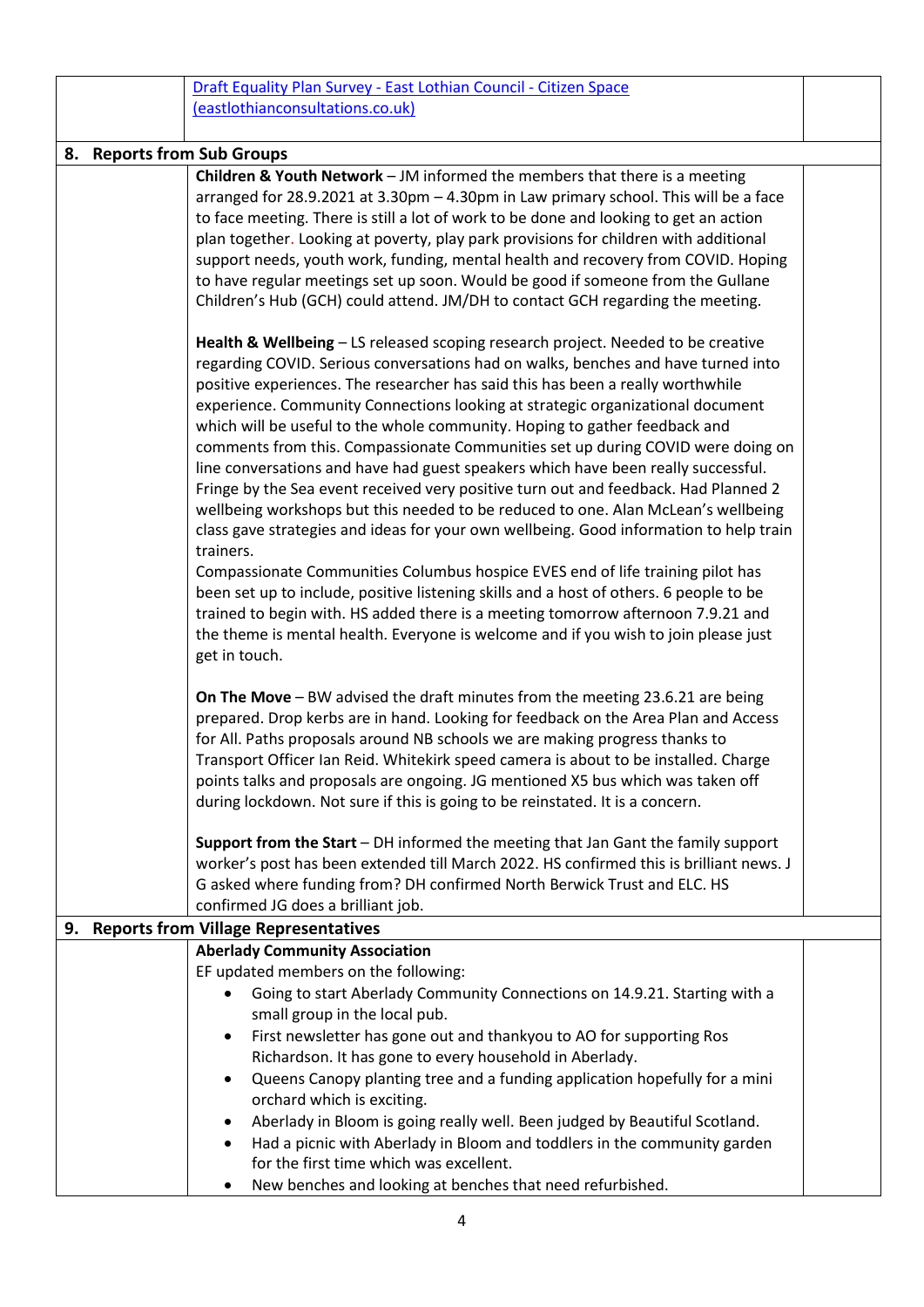|    |                                  | Draft Equality Plan Survey - East Lothian Council - Citizen Space                                                                                                           |  |  |  |
|----|----------------------------------|-----------------------------------------------------------------------------------------------------------------------------------------------------------------------------|--|--|--|
|    | (eastlothianconsultations.co.uk) |                                                                                                                                                                             |  |  |  |
|    |                                  |                                                                                                                                                                             |  |  |  |
|    |                                  | 8. Reports from Sub Groups                                                                                                                                                  |  |  |  |
|    |                                  | <b>Children &amp; Youth Network</b> $-$ JM informed the members that there is a meeting                                                                                     |  |  |  |
|    |                                  | arranged for 28.9.2021 at 3.30pm - 4.30pm in Law primary school. This will be a face                                                                                        |  |  |  |
|    |                                  | to face meeting. There is still a lot of work to be done and looking to get an action                                                                                       |  |  |  |
|    |                                  | plan together. Looking at poverty, play park provisions for children with additional                                                                                        |  |  |  |
|    |                                  | support needs, youth work, funding, mental health and recovery from COVID. Hoping                                                                                           |  |  |  |
|    |                                  | to have regular meetings set up soon. Would be good if someone from the Gullane                                                                                             |  |  |  |
|    |                                  | Children's Hub (GCH) could attend. JM/DH to contact GCH regarding the meeting.                                                                                              |  |  |  |
|    |                                  | Health & Wellbeing - LS released scoping research project. Needed to be creative                                                                                            |  |  |  |
|    |                                  | regarding COVID. Serious conversations had on walks, benches and have turned into                                                                                           |  |  |  |
|    |                                  | positive experiences. The researcher has said this has been a really worthwhile                                                                                             |  |  |  |
|    |                                  | experience. Community Connections looking at strategic organizational document                                                                                              |  |  |  |
|    |                                  | which will be useful to the whole community. Hoping to gather feedback and                                                                                                  |  |  |  |
|    |                                  | comments from this. Compassionate Communities set up during COVID were doing on                                                                                             |  |  |  |
|    |                                  | line conversations and have had guest speakers which have been really successful.                                                                                           |  |  |  |
|    |                                  | Fringe by the Sea event received very positive turn out and feedback. Had Planned 2                                                                                         |  |  |  |
|    |                                  | wellbeing workshops but this needed to be reduced to one. Alan McLean's wellbeing<br>class gave strategies and ideas for your own wellbeing. Good information to help train |  |  |  |
|    |                                  | trainers.                                                                                                                                                                   |  |  |  |
|    |                                  | Compassionate Communities Columbus hospice EVES end of life training pilot has                                                                                              |  |  |  |
|    |                                  | been set up to include, positive listening skills and a host of others. 6 people to be                                                                                      |  |  |  |
|    |                                  | trained to begin with. HS added there is a meeting tomorrow afternoon 7.9.21 and                                                                                            |  |  |  |
|    |                                  | the theme is mental health. Everyone is welcome and if you wish to join please just                                                                                         |  |  |  |
|    |                                  | get in touch.                                                                                                                                                               |  |  |  |
|    |                                  |                                                                                                                                                                             |  |  |  |
|    |                                  | On The Move - BW advised the draft minutes from the meeting 23.6.21 are being                                                                                               |  |  |  |
|    |                                  | prepared. Drop kerbs are in hand. Looking for feedback on the Area Plan and Access                                                                                          |  |  |  |
|    |                                  | for All. Paths proposals around NB schools we are making progress thanks to                                                                                                 |  |  |  |
|    |                                  | Transport Officer Ian Reid. Whitekirk speed camera is about to be installed. Charge                                                                                         |  |  |  |
|    |                                  | points talks and proposals are ongoing. JG mentioned X5 bus which was taken off                                                                                             |  |  |  |
|    |                                  | during lockdown. Not sure if this is going to be reinstated. It is a concern.                                                                                               |  |  |  |
|    |                                  | Support from the Start - DH informed the meeting that Jan Gant the family support                                                                                           |  |  |  |
|    |                                  | worker's post has been extended till March 2022. HS confirmed this is brilliant news. J                                                                                     |  |  |  |
|    |                                  | G asked where funding from? DH confirmed North Berwick Trust and ELC. HS                                                                                                    |  |  |  |
|    |                                  | confirmed JG does a brilliant job.                                                                                                                                          |  |  |  |
| 9. |                                  | <b>Reports from Village Representatives</b>                                                                                                                                 |  |  |  |
|    |                                  | <b>Aberlady Community Association</b><br>EF updated members on the following:                                                                                               |  |  |  |
|    |                                  |                                                                                                                                                                             |  |  |  |
|    |                                  | Going to start Aberlady Community Connections on 14.9.21. Starting with a<br>small group in the local pub.                                                                  |  |  |  |
|    |                                  | First newsletter has gone out and thankyou to AO for supporting Ros<br>$\bullet$                                                                                            |  |  |  |
|    |                                  | Richardson. It has gone to every household in Aberlady.                                                                                                                     |  |  |  |
|    |                                  | Queens Canopy planting tree and a funding application hopefully for a mini<br>$\bullet$                                                                                     |  |  |  |
|    |                                  | orchard which is exciting.                                                                                                                                                  |  |  |  |
|    |                                  | Aberlady in Bloom is going really well. Been judged by Beautiful Scotland.<br>٠                                                                                             |  |  |  |
|    |                                  | Had a picnic with Aberlady in Bloom and toddlers in the community garden<br>٠                                                                                               |  |  |  |
|    |                                  | for the first time which was excellent.                                                                                                                                     |  |  |  |
|    |                                  | New benches and looking at benches that need refurbished.<br>٠                                                                                                              |  |  |  |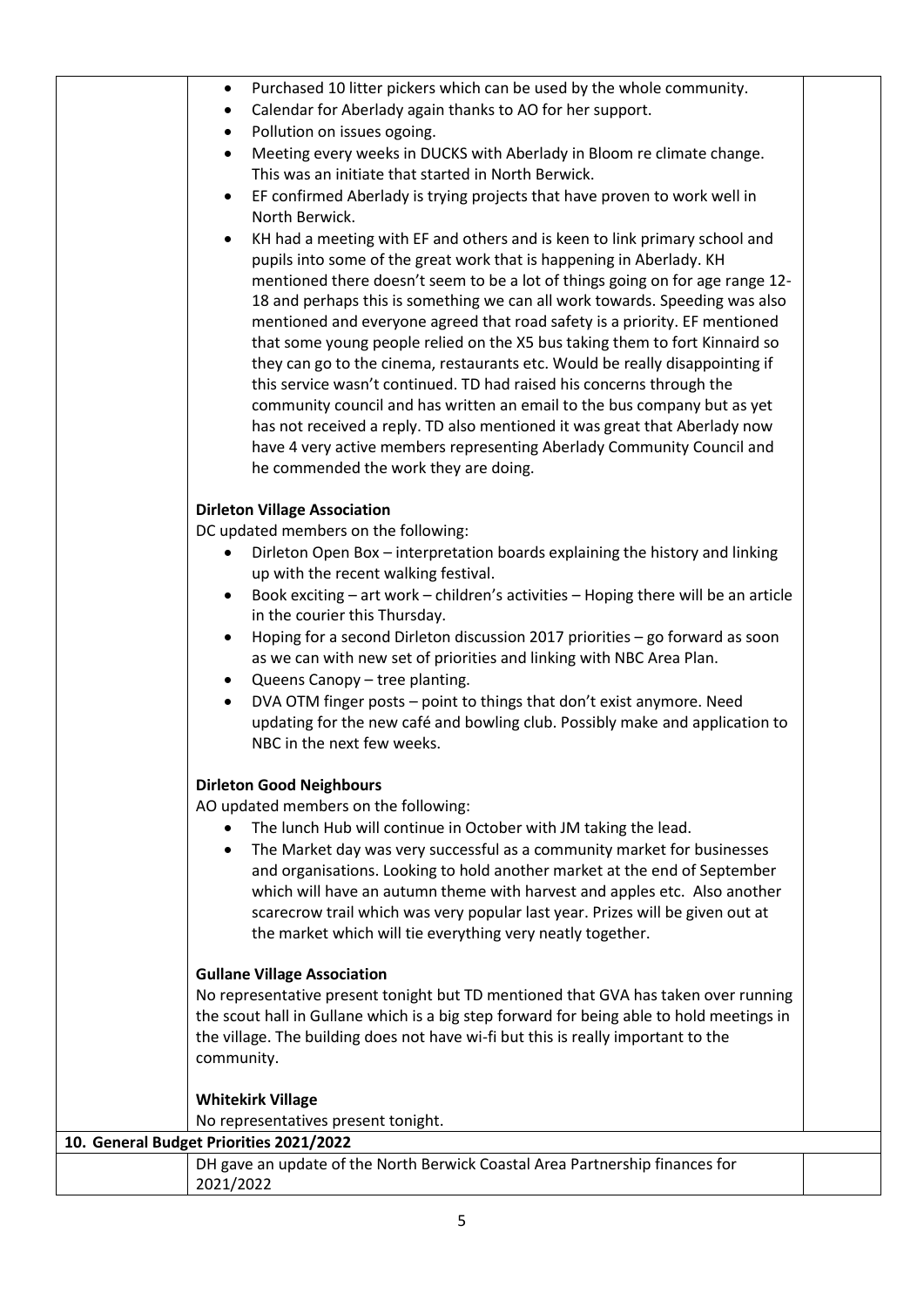| Purchased 10 litter pickers which can be used by the whole community.<br>$\bullet$                                                                          |  |
|-------------------------------------------------------------------------------------------------------------------------------------------------------------|--|
| Calendar for Aberlady again thanks to AO for her support.<br>$\bullet$                                                                                      |  |
| Pollution on issues ogoing.                                                                                                                                 |  |
| Meeting every weeks in DUCKS with Aberlady in Bloom re climate change.<br>$\bullet$                                                                         |  |
| This was an initiate that started in North Berwick.                                                                                                         |  |
| EF confirmed Aberlady is trying projects that have proven to work well in<br>$\bullet$                                                                      |  |
| North Berwick.                                                                                                                                              |  |
| KH had a meeting with EF and others and is keen to link primary school and                                                                                  |  |
| pupils into some of the great work that is happening in Aberlady. KH                                                                                        |  |
| mentioned there doesn't seem to be a lot of things going on for age range 12-                                                                               |  |
| 18 and perhaps this is something we can all work towards. Speeding was also                                                                                 |  |
| mentioned and everyone agreed that road safety is a priority. EF mentioned                                                                                  |  |
| that some young people relied on the X5 bus taking them to fort Kinnaird so<br>they can go to the cinema, restaurants etc. Would be really disappointing if |  |
| this service wasn't continued. TD had raised his concerns through the                                                                                       |  |
| community council and has written an email to the bus company but as yet                                                                                    |  |
| has not received a reply. TD also mentioned it was great that Aberlady now                                                                                  |  |
| have 4 very active members representing Aberlady Community Council and                                                                                      |  |
| he commended the work they are doing.                                                                                                                       |  |
|                                                                                                                                                             |  |
| <b>Dirleton Village Association</b>                                                                                                                         |  |
| DC updated members on the following:                                                                                                                        |  |
| Dirleton Open Box - interpretation boards explaining the history and linking<br>٠                                                                           |  |
| up with the recent walking festival.                                                                                                                        |  |
| Book exciting - art work - children's activities - Hoping there will be an article                                                                          |  |
| in the courier this Thursday.                                                                                                                               |  |
| Hoping for a second Dirleton discussion 2017 priorities - go forward as soon<br>$\bullet$                                                                   |  |
| as we can with new set of priorities and linking with NBC Area Plan.                                                                                        |  |
| Queens Canopy - tree planting.<br>$\bullet$                                                                                                                 |  |
| DVA OTM finger posts - point to things that don't exist anymore. Need<br>updating for the new café and bowling club. Possibly make and application to       |  |
| NBC in the next few weeks.                                                                                                                                  |  |
|                                                                                                                                                             |  |
| <b>Dirleton Good Neighbours</b>                                                                                                                             |  |
| AO updated members on the following:                                                                                                                        |  |
| The lunch Hub will continue in October with JM taking the lead.                                                                                             |  |
| The Market day was very successful as a community market for businesses                                                                                     |  |
| and organisations. Looking to hold another market at the end of September                                                                                   |  |
| which will have an autumn theme with harvest and apples etc. Also another                                                                                   |  |
| scarecrow trail which was very popular last year. Prizes will be given out at                                                                               |  |
| the market which will tie everything very neatly together.                                                                                                  |  |
| <b>Gullane Village Association</b>                                                                                                                          |  |
| No representative present tonight but TD mentioned that GVA has taken over running                                                                          |  |
| the scout hall in Gullane which is a big step forward for being able to hold meetings in                                                                    |  |
| the village. The building does not have wi-fi but this is really important to the                                                                           |  |
| community.                                                                                                                                                  |  |
|                                                                                                                                                             |  |
| <b>Whitekirk Village</b>                                                                                                                                    |  |
| No representatives present tonight.                                                                                                                         |  |
| 10. General Budget Priorities 2021/2022                                                                                                                     |  |
| DH gave an update of the North Berwick Coastal Area Partnership finances for                                                                                |  |
| 2021/2022                                                                                                                                                   |  |